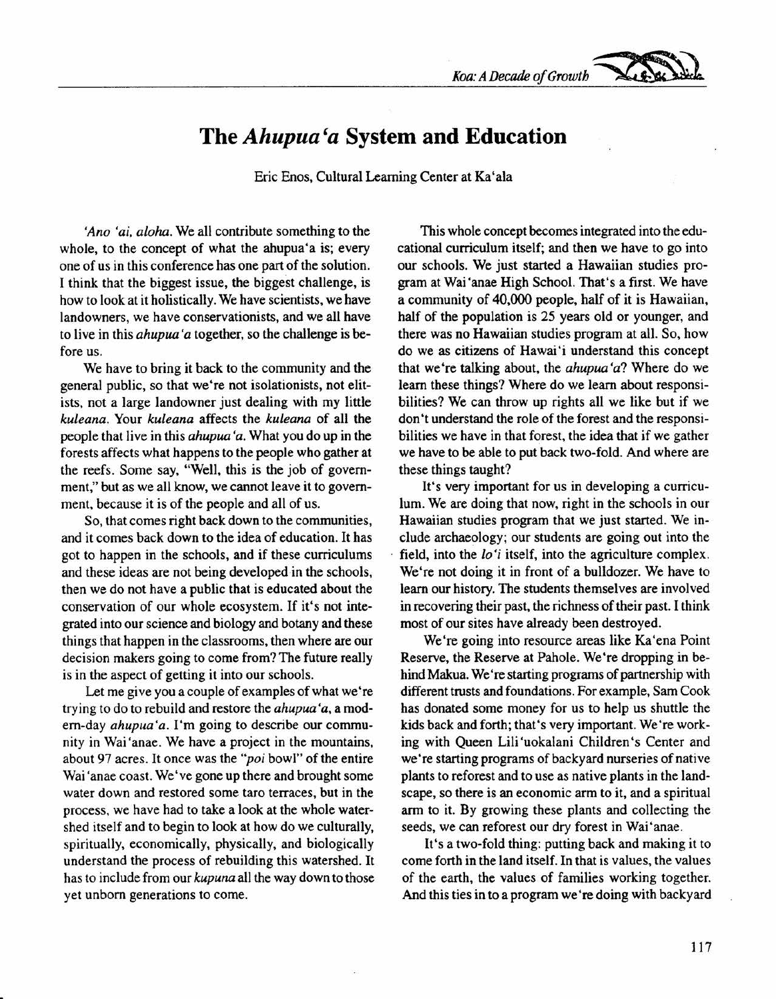*Koa: A Decade of Growth ~*

## The *Ahupua'a* **System and Education**

Eric Enos, Cultural Learning Center at Ka'ala

*'Ano 'ai, aloha.* We all contribute something to the whole, to the concept of what the ahupua'a is; every one of us in this conference has one part of the solution. I think that the biggest issue, the biggest challenge, is how to look at it holistically. We have scientists, we have landowners, we have conservationists, and we all have to live in this *ahupua 'a* together, so the challenge is before us.

We have to bring it back to the community and the general public, so that we're not isolationists, not elitists, not a large landowner just dealing with my little *kuleana.* Your *kuleana* affects the *kuleana* of all the people that live in this *ahupua 'a.* What you do up in the forests affects what happens to the people who gather at the reefs. Some say, "Well, this is the job of government," but as we all know, we cannot leave it to government, because it is of the people and all of us.

So, that comes right back down to the communities, and it comes back down to the idea of education. It has got to happen in the schools, and if these curriculums and these ideas are not being developed in the schools, then we do not have a public that is educated about the conservation of our whole ecosystem. If it's not integrated into our science and biology and botany and these things that happen in the classrooms, then where are our decision makers going to come from? The future really is in the aspect of getting it into our schools.

Let me give you a couple of examples of what we're trying to do to rebuild and restore the *ahupua 'a,* a modem-day *ahupua 'a.* I'm going to describe our community in Wai 'anae. We have a project in the mountains, about 97 acres. It once was the *"poi* bowl" of the entire Wai 'anae coast. We've gone up there and brought some water down and restored some taro terraces, but in the process, we have had to take a look at the whole watershed itself and to begin to look at how do we culturally, spiritually, economically, physically, and biologically understand the process of rebuilding this watershed. It has to include from our *kupuna* all the way down to those yet unborn generations to come.

This whole concept becomes integrated into the educational curriculum itself; and then we have to go into our schools. We just started a Hawaiian studies program at Wai 'anae High School. That's a first. We have a community of 40,000 people, half of it is Hawaiian, half of the population is 25 years old or younger, and there was no Hawaiian studies program at all. So, how do we as citizens of Hawai'i understand this concept that we're talking about, the *ahupua'a'l* Where do we learn these things? Where do we learn about responsibilities? We can throw up rights all we like but if we don't understand the role of the forest and the responsibilities we have in that forest, the idea that if we gather we have to be able to put back two-fold. And where are these things taught?

It's very important for us in developing a curriculum. We are doing that now, right in the schools in our Hawaiian studies program that we just started. We include archaeology; our students are going out into the field, into the *lo'i* itself, into the agriculture complex. We're not doing it in front of a bulldozer. We have to learn our history. The students themselves are involved in recovering their past, the richness of their past. I think most of our sites have already been destroyed.

We're going into resource areas like Ka'ena Point Reserve, the Reserve at Pahole. We're dropping in behind Makua. We're starting programs of partnership with different trusts and foundations. For example, Sam Cook has donated some money for us to help us shuttle the kids back and forth; that's very important. We're working with Queen Lili 'uokalani Children's Center and we're starting programs of backyard nurseries of native plants to reforest and to use as native plants in the landscape, so there is an economic arm to it, and a spiritual arm to it. By growing these plants and collecting the seeds, we can reforest our dry forest in Wai 'anae.

It's a two-fold thing: putting back and making it to come forth in the land itself. In that is values, the values of the earth, the values of families working together. And this ties in to a program we're doing with backyard